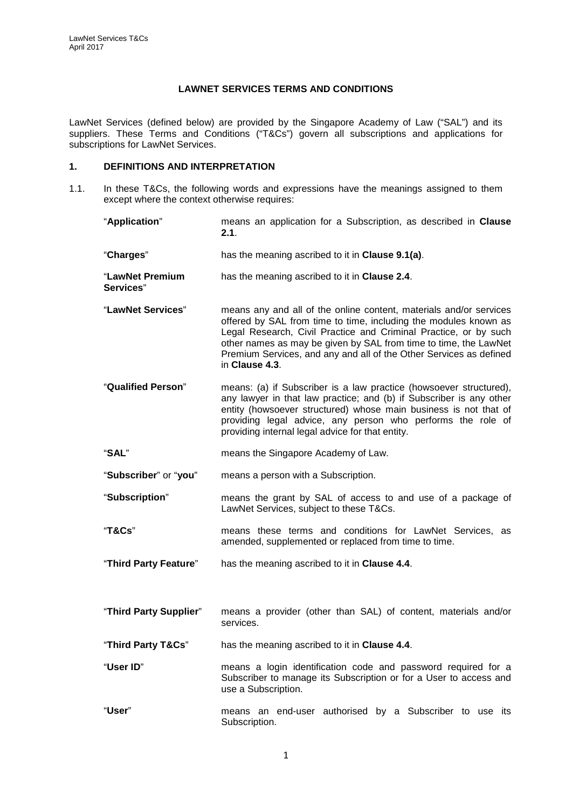### **LAWNET SERVICES TERMS AND CONDITIONS**

LawNet Services (defined below) are provided by the Singapore Academy of Law ("SAL") and its suppliers. These Terms and Conditions ("T&Cs") govern all subscriptions and applications for subscriptions for LawNet Services.

## **1. DEFINITIONS AND INTERPRETATION**

1.1. In these T&Cs, the following words and expressions have the meanings assigned to them except where the context otherwise requires:

| "Application"                | means an application for a Subscription, as described in Clause<br>2.1.                                                                                                                                                                                                                                                                                                |
|------------------------------|------------------------------------------------------------------------------------------------------------------------------------------------------------------------------------------------------------------------------------------------------------------------------------------------------------------------------------------------------------------------|
| "Charges"                    | has the meaning ascribed to it in Clause 9.1(a).                                                                                                                                                                                                                                                                                                                       |
| "LawNet Premium<br>Services" | has the meaning ascribed to it in Clause 2.4.                                                                                                                                                                                                                                                                                                                          |
| "LawNet Services"            | means any and all of the online content, materials and/or services<br>offered by SAL from time to time, including the modules known as<br>Legal Research, Civil Practice and Criminal Practice, or by such<br>other names as may be given by SAL from time to time, the LawNet<br>Premium Services, and any and all of the Other Services as defined<br>in Clause 4.3. |
| "Qualified Person"           | means: (a) if Subscriber is a law practice (howsoever structured),<br>any lawyer in that law practice; and (b) if Subscriber is any other<br>entity (howsoever structured) whose main business is not that of<br>providing legal advice, any person who performs the role of<br>providing internal legal advice for that entity.                                       |
| "SAL"                        | means the Singapore Academy of Law.                                                                                                                                                                                                                                                                                                                                    |
| "Subscriber" or "you"        | means a person with a Subscription.                                                                                                                                                                                                                                                                                                                                    |
| "Subscription"               | means the grant by SAL of access to and use of a package of<br>LawNet Services, subject to these T&Cs.                                                                                                                                                                                                                                                                 |
| "T&Cs"                       | means these terms and conditions for LawNet Services, as<br>amended, supplemented or replaced from time to time.                                                                                                                                                                                                                                                       |
| "Third Party Feature"        | has the meaning ascribed to it in <b>Clause 4.4</b> .                                                                                                                                                                                                                                                                                                                  |
|                              |                                                                                                                                                                                                                                                                                                                                                                        |
| "Third Party Supplier"       | means a provider (other than SAL) of content, materials and/or<br>services.                                                                                                                                                                                                                                                                                            |
| "Third Party T&Cs"           | has the meaning ascribed to it in Clause 4.4.                                                                                                                                                                                                                                                                                                                          |
| "User ID"                    | means a login identification code and password required for a<br>Subscriber to manage its Subscription or for a User to access and<br>use a Subscription.                                                                                                                                                                                                              |
| "User"                       | means an end-user authorised by a Subscriber to use its<br>Subscription.                                                                                                                                                                                                                                                                                               |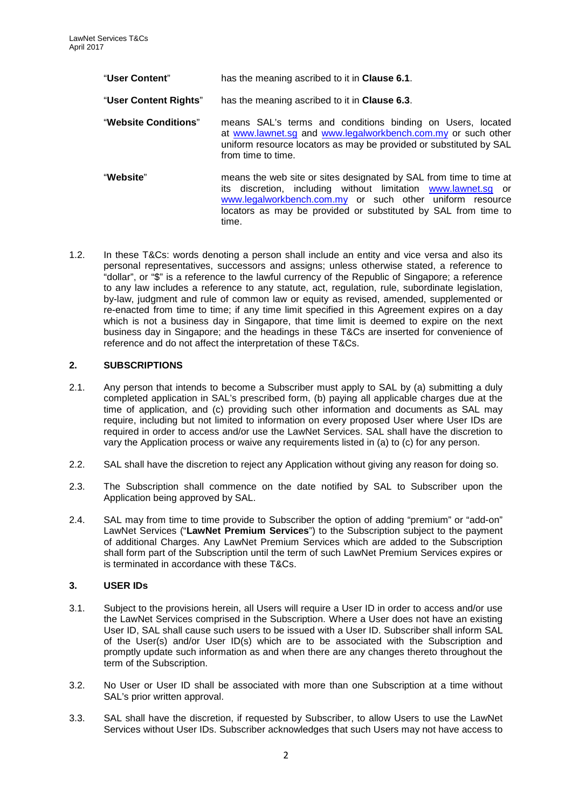| "User Content"              | has the meaning ascribed to it in <b>Clause 6.1</b> .                                                                                                                                                                                                                      |
|-----------------------------|----------------------------------------------------------------------------------------------------------------------------------------------------------------------------------------------------------------------------------------------------------------------------|
| "User Content Rights"       | has the meaning ascribed to it in Clause 6.3.                                                                                                                                                                                                                              |
| <b>"Website Conditions"</b> | means SAL's terms and conditions binding on Users, located<br>at www.lawnet.sg and www.legalworkbench.com.my or such other<br>uniform resource locators as may be provided or substituted by SAL<br>from time to time.                                                     |
| "Website"                   | means the web site or sites designated by SAL from time to time at<br>its discretion, including without limitation www.lawnet.sq or<br>www.legalworkbench.com.my or such other uniform resource<br>locators as may be provided or substituted by SAL from time to<br>time. |

1.2. In these T&Cs: words denoting a person shall include an entity and vice versa and also its personal representatives, successors and assigns; unless otherwise stated, a reference to "dollar", or "\$" is a reference to the lawful currency of the Republic of Singapore; a reference to any law includes a reference to any statute, act, regulation, rule, subordinate legislation, by-law, judgment and rule of common law or equity as revised, amended, supplemented or re-enacted from time to time; if any time limit specified in this Agreement expires on a day which is not a business day in Singapore, that time limit is deemed to expire on the next business day in Singapore; and the headings in these T&Cs are inserted for convenience of reference and do not affect the interpretation of these T&Cs.

### **2. SUBSCRIPTIONS**

- <span id="page-1-0"></span>2.1. Any person that intends to become a Subscriber must apply to SAL by (a) submitting a duly completed application in SAL's prescribed form, (b) paying all applicable charges due at the time of application, and (c) providing such other information and documents as SAL may require, including but not limited to information on every proposed User where User IDs are required in order to access and/or use the LawNet Services. SAL shall have the discretion to vary the Application process or waive any requirements listed in (a) to (c) for any person.
- 2.2. SAL shall have the discretion to reject any Application without giving any reason for doing so.
- 2.3. The Subscription shall commence on the date notified by SAL to Subscriber upon the Application being approved by SAL.
- <span id="page-1-1"></span>2.4. SAL may from time to time provide to Subscriber the option of adding "premium" or "add-on" LawNet Services ("**LawNet Premium Services**") to the Subscription subject to the payment of additional Charges. Any LawNet Premium Services which are added to the Subscription shall form part of the Subscription until the term of such LawNet Premium Services expires or is terminated in accordance with these T&Cs.

### **3. USER IDs**

- 3.1. Subject to the provisions herein, all Users will require a User ID in order to access and/or use the LawNet Services comprised in the Subscription. Where a User does not have an existing User ID, SAL shall cause such users to be issued with a User ID. Subscriber shall inform SAL of the User(s) and/or User ID(s) which are to be associated with the Subscription and promptly update such information as and when there are any changes thereto throughout the term of the Subscription.
- 3.2. No User or User ID shall be associated with more than one Subscription at a time without SAL's prior written approval.
- <span id="page-1-2"></span>3.3. SAL shall have the discretion, if requested by Subscriber, to allow Users to use the LawNet Services without User IDs. Subscriber acknowledges that such Users may not have access to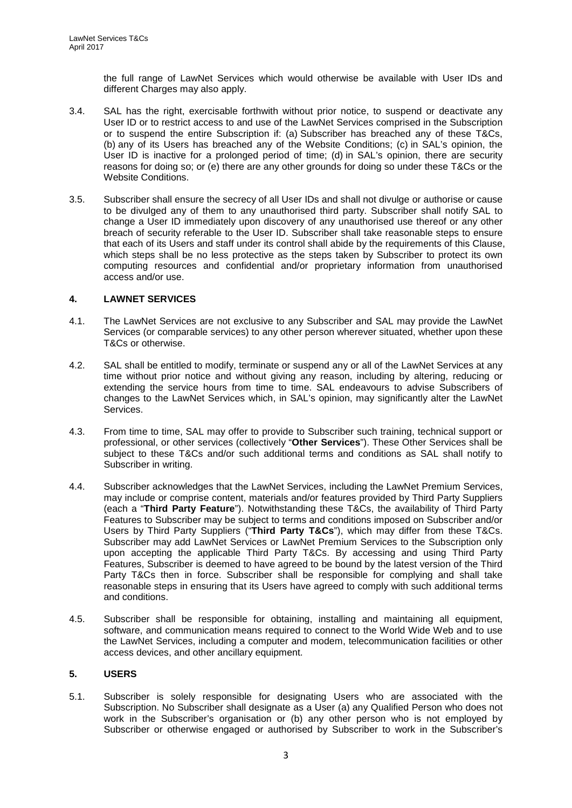the full range of LawNet Services which would otherwise be available with User IDs and different Charges may also apply.

- 3.4. SAL has the right, exercisable forthwith without prior notice, to suspend or deactivate any User ID or to restrict access to and use of the LawNet Services comprised in the Subscription or to suspend the entire Subscription if: (a) Subscriber has breached any of these T&Cs, (b) any of its Users has breached any of the Website Conditions; (c) in SAL's opinion, the User ID is inactive for a prolonged period of time; (d) in SAL's opinion, there are security reasons for doing so; or (e) there are any other grounds for doing so under these T&Cs or the Website Conditions.
- 3.5. Subscriber shall ensure the secrecy of all User IDs and shall not divulge or authorise or cause to be divulged any of them to any unauthorised third party. Subscriber shall notify SAL to change a User ID immediately upon discovery of any unauthorised use thereof or any other breach of security referable to the User ID. Subscriber shall take reasonable steps to ensure that each of its Users and staff under its control shall abide by the requirements of this Clause, which steps shall be no less protective as the steps taken by Subscriber to protect its own computing resources and confidential and/or proprietary information from unauthorised access and/or use.

### **4. LAWNET SERVICES**

- 4.1. The LawNet Services are not exclusive to any Subscriber and SAL may provide the LawNet Services (or comparable services) to any other person wherever situated, whether upon these T&Cs or otherwise.
- 4.2. SAL shall be entitled to modify, terminate or suspend any or all of the LawNet Services at any time without prior notice and without giving any reason, including by altering, reducing or extending the service hours from time to time. SAL endeavours to advise Subscribers of changes to the LawNet Services which, in SAL's opinion, may significantly alter the LawNet Services.
- <span id="page-2-0"></span>4.3. From time to time, SAL may offer to provide to Subscriber such training, technical support or professional, or other services (collectively "**Other Services**"). These Other Services shall be subject to these T&Cs and/or such additional terms and conditions as SAL shall notify to Subscriber in writing.
- <span id="page-2-1"></span>4.4. Subscriber acknowledges that the LawNet Services, including the LawNet Premium Services, may include or comprise content, materials and/or features provided by Third Party Suppliers (each a "**Third Party Feature**"). Notwithstanding these T&Cs, the availability of Third Party Features to Subscriber may be subject to terms and conditions imposed on Subscriber and/or Users by Third Party Suppliers ("**Third Party T&Cs**"), which may differ from these T&Cs. Subscriber may add LawNet Services or LawNet Premium Services to the Subscription only upon accepting the applicable Third Party T&Cs. By accessing and using Third Party Features, Subscriber is deemed to have agreed to be bound by the latest version of the Third Party T&Cs then in force. Subscriber shall be responsible for complying and shall take reasonable steps in ensuring that its Users have agreed to comply with such additional terms and conditions.
- 4.5. Subscriber shall be responsible for obtaining, installing and maintaining all equipment, software, and communication means required to connect to the World Wide Web and to use the LawNet Services, including a computer and modem, telecommunication facilities or other access devices, and other ancillary equipment.

### **5. USERS**

5.1. Subscriber is solely responsible for designating Users who are associated with the Subscription. No Subscriber shall designate as a User (a) any Qualified Person who does not work in the Subscriber's organisation or (b) any other person who is not employed by Subscriber or otherwise engaged or authorised by Subscriber to work in the Subscriber's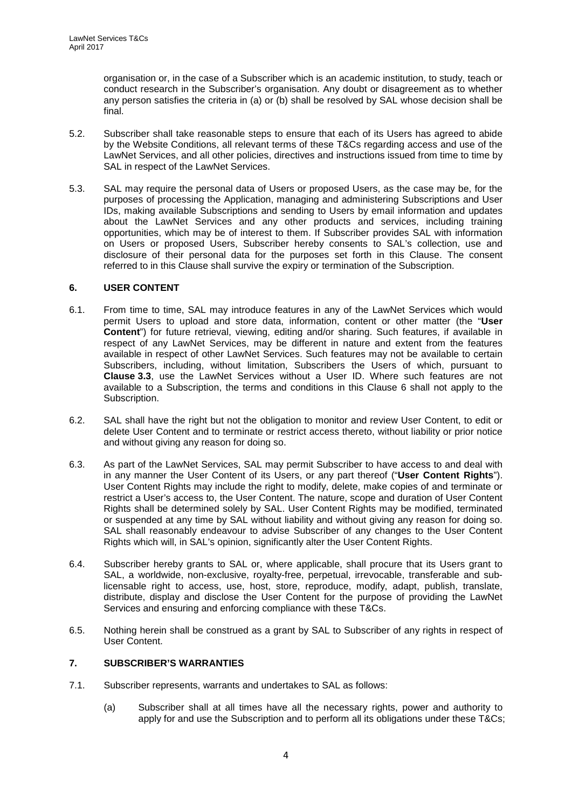organisation or, in the case of a Subscriber which is an academic institution, to study, teach or conduct research in the Subscriber's organisation. Any doubt or disagreement as to whether any person satisfies the criteria in (a) or (b) shall be resolved by SAL whose decision shall be final.

- 5.2. Subscriber shall take reasonable steps to ensure that each of its Users has agreed to abide by the Website Conditions, all relevant terms of these T&Cs regarding access and use of the LawNet Services, and all other policies, directives and instructions issued from time to time by SAL in respect of the LawNet Services.
- <span id="page-3-2"></span>5.3. SAL may require the personal data of Users or proposed Users, as the case may be, for the purposes of processing the Application, managing and administering Subscriptions and User IDs, making available Subscriptions and sending to Users by email information and updates about the LawNet Services and any other products and services, including training opportunities, which may be of interest to them. If Subscriber provides SAL with information on Users or proposed Users, Subscriber hereby consents to SAL's collection, use and disclosure of their personal data for the purposes set forth in this Clause. The consent referred to in this Clause shall survive the expiry or termination of the Subscription.

## **6. USER CONTENT**

- <span id="page-3-0"></span>6.1. From time to time, SAL may introduce features in any of the LawNet Services which would permit Users to upload and store data, information, content or other matter (the "**User Content**") for future retrieval, viewing, editing and/or sharing. Such features, if available in respect of any LawNet Services, may be different in nature and extent from the features available in respect of other LawNet Services. Such features may not be available to certain Subscribers, including, without limitation, Subscribers the Users of which, pursuant to **Clause [3.3](#page-1-2)**, use the LawNet Services without a User ID. Where such features are not available to a Subscription, the terms and conditions in this Clause 6 shall not apply to the Subscription.
- 6.2. SAL shall have the right but not the obligation to monitor and review User Content, to edit or delete User Content and to terminate or restrict access thereto, without liability or prior notice and without giving any reason for doing so.
- <span id="page-3-1"></span>6.3. As part of the LawNet Services, SAL may permit Subscriber to have access to and deal with in any manner the User Content of its Users, or any part thereof ("**User Content Rights**"). User Content Rights may include the right to modify, delete, make copies of and terminate or restrict a User's access to, the User Content. The nature, scope and duration of User Content Rights shall be determined solely by SAL. User Content Rights may be modified, terminated or suspended at any time by SAL without liability and without giving any reason for doing so. SAL shall reasonably endeavour to advise Subscriber of any changes to the User Content Rights which will, in SAL's opinion, significantly alter the User Content Rights.
- <span id="page-3-3"></span>6.4. Subscriber hereby grants to SAL or, where applicable, shall procure that its Users grant to SAL, a worldwide, non-exclusive, royalty-free, perpetual, irrevocable, transferable and sublicensable right to access, use, host, store, reproduce, modify, adapt, publish, translate, distribute, display and disclose the User Content for the purpose of providing the LawNet Services and ensuring and enforcing compliance with these T&Cs.
- 6.5. Nothing herein shall be construed as a grant by SAL to Subscriber of any rights in respect of User Content.

# <span id="page-3-4"></span>**7. SUBSCRIBER'S WARRANTIES**

- 7.1. Subscriber represents, warrants and undertakes to SAL as follows:
	- (a) Subscriber shall at all times have all the necessary rights, power and authority to apply for and use the Subscription and to perform all its obligations under these T&Cs;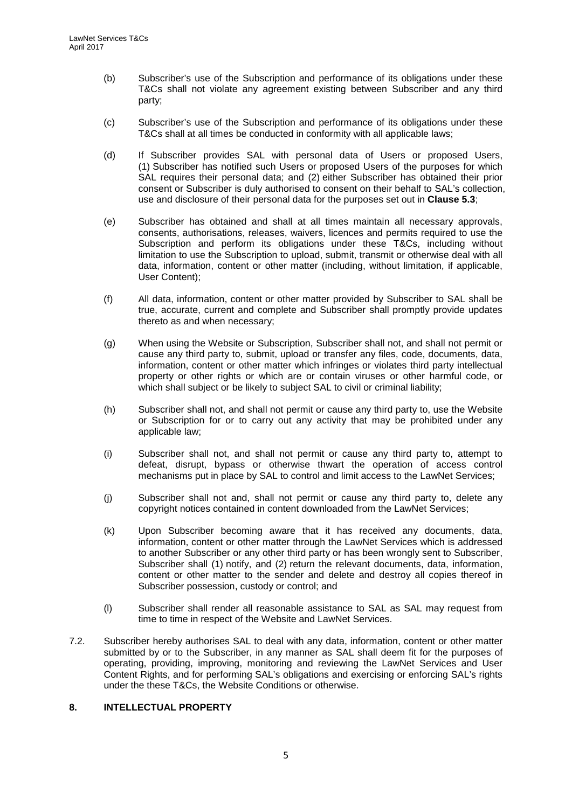- (b) Subscriber's use of the Subscription and performance of its obligations under these T&Cs shall not violate any agreement existing between Subscriber and any third party;
- (c) Subscriber's use of the Subscription and performance of its obligations under these T&Cs shall at all times be conducted in conformity with all applicable laws;
- (d) If Subscriber provides SAL with personal data of Users or proposed Users, (1) Subscriber has notified such Users or proposed Users of the purposes for which SAL requires their personal data; and (2) either Subscriber has obtained their prior consent or Subscriber is duly authorised to consent on their behalf to SAL's collection, use and disclosure of their personal data for the purposes set out in **Clause [5.3](#page-3-2)**;
- (e) Subscriber has obtained and shall at all times maintain all necessary approvals, consents, authorisations, releases, waivers, licences and permits required to use the Subscription and perform its obligations under these T&Cs, including without limitation to use the Subscription to upload, submit, transmit or otherwise deal with all data, information, content or other matter (including, without limitation, if applicable, User Content);
- (f) All data, information, content or other matter provided by Subscriber to SAL shall be true, accurate, current and complete and Subscriber shall promptly provide updates thereto as and when necessary;
- (g) When using the Website or Subscription, Subscriber shall not, and shall not permit or cause any third party to, submit, upload or transfer any files, code, documents, data, information, content or other matter which infringes or violates third party intellectual property or other rights or which are or contain viruses or other harmful code, or which shall subject or be likely to subject SAL to civil or criminal liability;
- (h) Subscriber shall not, and shall not permit or cause any third party to, use the Website or Subscription for or to carry out any activity that may be prohibited under any applicable law;
- (i) Subscriber shall not, and shall not permit or cause any third party to, attempt to defeat, disrupt, bypass or otherwise thwart the operation of access control mechanisms put in place by SAL to control and limit access to the LawNet Services;
- (j) Subscriber shall not and, shall not permit or cause any third party to, delete any copyright notices contained in content downloaded from the LawNet Services;
- (k) Upon Subscriber becoming aware that it has received any documents, data, information, content or other matter through the LawNet Services which is addressed to another Subscriber or any other third party or has been wrongly sent to Subscriber, Subscriber shall (1) notify, and (2) return the relevant documents, data, information, content or other matter to the sender and delete and destroy all copies thereof in Subscriber possession, custody or control; and
- (l) Subscriber shall render all reasonable assistance to SAL as SAL may request from time to time in respect of the Website and LawNet Services.
- 7.2. Subscriber hereby authorises SAL to deal with any data, information, content or other matter submitted by or to the Subscriber, in any manner as SAL shall deem fit for the purposes of operating, providing, improving, monitoring and reviewing the LawNet Services and User Content Rights, and for performing SAL's obligations and exercising or enforcing SAL's rights under the these T&Cs, the Website Conditions or otherwise.

### **8. INTELLECTUAL PROPERTY**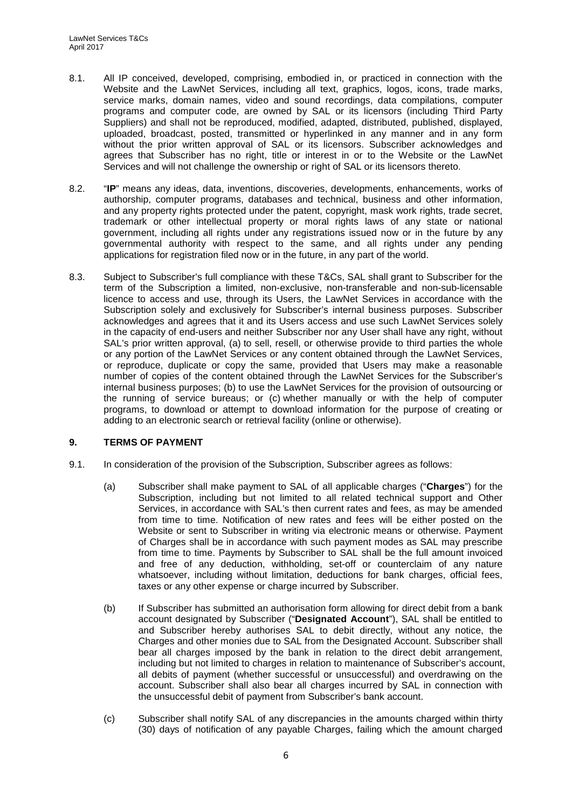- <span id="page-5-2"></span>8.1. All IP conceived, developed, comprising, embodied in, or practiced in connection with the Website and the LawNet Services, including all text, graphics, logos, icons, trade marks, service marks, domain names, video and sound recordings, data compilations, computer programs and computer code, are owned by SAL or its licensors (including Third Party Suppliers) and shall not be reproduced, modified, adapted, distributed, published, displayed, uploaded, broadcast, posted, transmitted or hyperlinked in any manner and in any form without the prior written approval of SAL or its licensors. Subscriber acknowledges and agrees that Subscriber has no right, title or interest in or to the Website or the LawNet Services and will not challenge the ownership or right of SAL or its licensors thereto.
- 8.2. "**IP**" means any ideas, data, inventions, discoveries, developments, enhancements, works of authorship, computer programs, databases and technical, business and other information, and any property rights protected under the patent, copyright, mask work rights, trade secret, trademark or other intellectual property or moral rights laws of any state or national government, including all rights under any registrations issued now or in the future by any governmental authority with respect to the same, and all rights under any pending applications for registration filed now or in the future, in any part of the world.
- 8.3. Subject to Subscriber's full compliance with these T&Cs, SAL shall grant to Subscriber for the term of the Subscription a limited, non-exclusive, non-transferable and non-sub-licensable licence to access and use, through its Users, the LawNet Services in accordance with the Subscription solely and exclusively for Subscriber's internal business purposes. Subscriber acknowledges and agrees that it and its Users access and use such LawNet Services solely in the capacity of end-users and neither Subscriber nor any User shall have any right, without SAL's prior written approval, (a) to sell, resell, or otherwise provide to third parties the whole or any portion of the LawNet Services or any content obtained through the LawNet Services, or reproduce, duplicate or copy the same, provided that Users may make a reasonable number of copies of the content obtained through the LawNet Services for the Subscriber's internal business purposes; (b) to use the LawNet Services for the provision of outsourcing or the running of service bureaus; or (c) whether manually or with the help of computer programs, to download or attempt to download information for the purpose of creating or adding to an electronic search or retrieval facility (online or otherwise).

### <span id="page-5-1"></span>**9. TERMS OF PAYMENT**

- <span id="page-5-0"></span>9.1. In consideration of the provision of the Subscription, Subscriber agrees as follows:
	- (a) Subscriber shall make payment to SAL of all applicable charges ("**Charges**") for the Subscription, including but not limited to all related technical support and Other Services, in accordance with SAL's then current rates and fees, as may be amended from time to time. Notification of new rates and fees will be either posted on the Website or sent to Subscriber in writing via electronic means or otherwise. Payment of Charges shall be in accordance with such payment modes as SAL may prescribe from time to time. Payments by Subscriber to SAL shall be the full amount invoiced and free of any deduction, withholding, set-off or counterclaim of any nature whatsoever, including without limitation, deductions for bank charges, official fees, taxes or any other expense or charge incurred by Subscriber.
	- (b) If Subscriber has submitted an authorisation form allowing for direct debit from a bank account designated by Subscriber ("**Designated Account**"), SAL shall be entitled to and Subscriber hereby authorises SAL to debit directly, without any notice, the Charges and other monies due to SAL from the Designated Account. Subscriber shall bear all charges imposed by the bank in relation to the direct debit arrangement, including but not limited to charges in relation to maintenance of Subscriber's account, all debits of payment (whether successful or unsuccessful) and overdrawing on the account. Subscriber shall also bear all charges incurred by SAL in connection with the unsuccessful debit of payment from Subscriber's bank account.
	- (c) Subscriber shall notify SAL of any discrepancies in the amounts charged within thirty (30) days of notification of any payable Charges, failing which the amount charged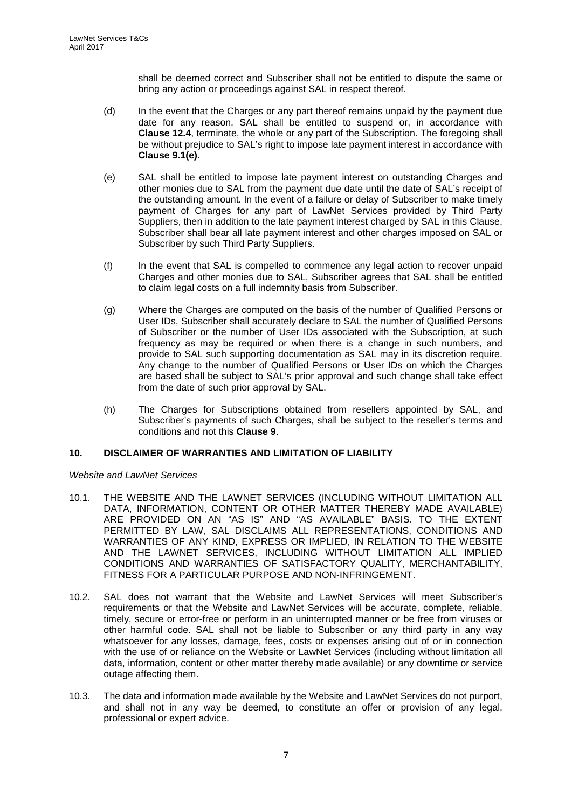shall be deemed correct and Subscriber shall not be entitled to dispute the same or bring any action or proceedings against SAL in respect thereof.

- (d) In the event that the Charges or any part thereof remains unpaid by the payment due date for any reason, SAL shall be entitled to suspend or, in accordance with **Clause [12.4](#page-9-0)**, terminate, the whole or any part of the Subscription. The foregoing shall be without prejudice to SAL's right to impose late payment interest in accordance with **Clause [9.1\(e\)](#page-5-0)**.
- (e) SAL shall be entitled to impose late payment interest on outstanding Charges and other monies due to SAL from the payment due date until the date of SAL's receipt of the outstanding amount. In the event of a failure or delay of Subscriber to make timely payment of Charges for any part of LawNet Services provided by Third Party Suppliers, then in addition to the late payment interest charged by SAL in this Clause, Subscriber shall bear all late payment interest and other charges imposed on SAL or Subscriber by such Third Party Suppliers.
- (f) In the event that SAL is compelled to commence any legal action to recover unpaid Charges and other monies due to SAL, Subscriber agrees that SAL shall be entitled to claim legal costs on a full indemnity basis from Subscriber.
- (g) Where the Charges are computed on the basis of the number of Qualified Persons or User IDs, Subscriber shall accurately declare to SAL the number of Qualified Persons of Subscriber or the number of User IDs associated with the Subscription, at such frequency as may be required or when there is a change in such numbers, and provide to SAL such supporting documentation as SAL may in its discretion require. Any change to the number of Qualified Persons or User IDs on which the Charges are based shall be subject to SAL's prior approval and such change shall take effect from the date of such prior approval by SAL.
- (h) The Charges for Subscriptions obtained from resellers appointed by SAL, and Subscriber's payments of such Charges, shall be subject to the reseller's terms and conditions and not this **Clause [9](#page-5-1)**.

### <span id="page-6-0"></span>**10. DISCLAIMER OF WARRANTIES AND LIMITATION OF LIABILITY**

# *Website and LawNet Services*

- 10.1. THE WEBSITE AND THE LAWNET SERVICES (INCLUDING WITHOUT LIMITATION ALL DATA, INFORMATION, CONTENT OR OTHER MATTER THEREBY MADE AVAILABLE) ARE PROVIDED ON AN "AS IS" AND "AS AVAILABLE" BASIS. TO THE EXTENT PERMITTED BY LAW, SAL DISCLAIMS ALL REPRESENTATIONS, CONDITIONS AND WARRANTIES OF ANY KIND, EXPRESS OR IMPLIED, IN RELATION TO THE WEBSITE AND THE LAWNET SERVICES, INCLUDING WITHOUT LIMITATION ALL IMPLIED CONDITIONS AND WARRANTIES OF SATISFACTORY QUALITY, MERCHANTABILITY, FITNESS FOR A PARTICULAR PURPOSE AND NON-INFRINGEMENT.
- 10.2. SAL does not warrant that the Website and LawNet Services will meet Subscriber's requirements or that the Website and LawNet Services will be accurate, complete, reliable, timely, secure or error-free or perform in an uninterrupted manner or be free from viruses or other harmful code. SAL shall not be liable to Subscriber or any third party in any way whatsoever for any losses, damage, fees, costs or expenses arising out of or in connection with the use of or reliance on the Website or LawNet Services (including without limitation all data, information, content or other matter thereby made available) or any downtime or service outage affecting them.
- 10.3. The data and information made available by the Website and LawNet Services do not purport, and shall not in any way be deemed, to constitute an offer or provision of any legal, professional or expert advice.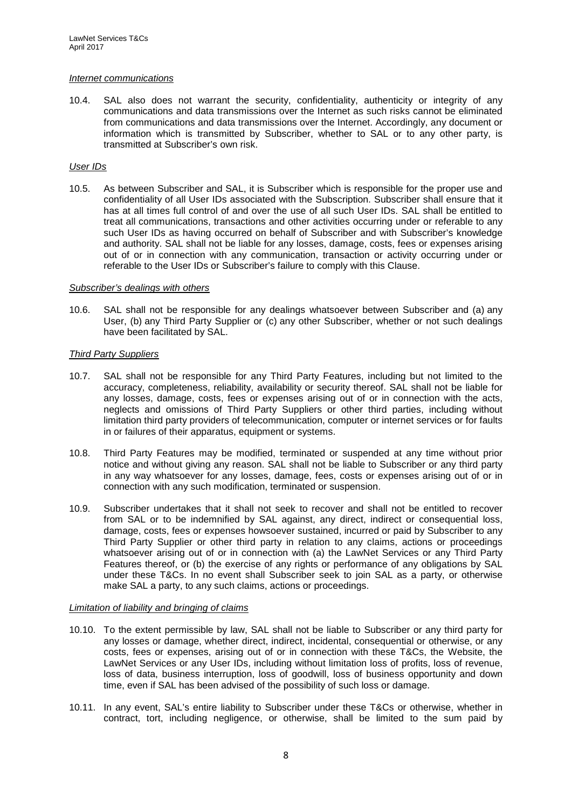#### *Internet communications*

10.4. SAL also does not warrant the security, confidentiality, authenticity or integrity of any communications and data transmissions over the Internet as such risks cannot be eliminated from communications and data transmissions over the Internet. Accordingly, any document or information which is transmitted by Subscriber, whether to SAL or to any other party, is transmitted at Subscriber's own risk.

#### *User IDs*

10.5. As between Subscriber and SAL, it is Subscriber which is responsible for the proper use and confidentiality of all User IDs associated with the Subscription. Subscriber shall ensure that it has at all times full control of and over the use of all such User IDs. SAL shall be entitled to treat all communications, transactions and other activities occurring under or referable to any such User IDs as having occurred on behalf of Subscriber and with Subscriber's knowledge and authority. SAL shall not be liable for any losses, damage, costs, fees or expenses arising out of or in connection with any communication, transaction or activity occurring under or referable to the User IDs or Subscriber's failure to comply with this Clause.

#### *Subscriber's dealings with others*

10.6. SAL shall not be responsible for any dealings whatsoever between Subscriber and (a) any User, (b) any Third Party Supplier or (c) any other Subscriber, whether or not such dealings have been facilitated by SAL.

### *Third Party Suppliers*

- 10.7. SAL shall not be responsible for any Third Party Features, including but not limited to the accuracy, completeness, reliability, availability or security thereof. SAL shall not be liable for any losses, damage, costs, fees or expenses arising out of or in connection with the acts, neglects and omissions of Third Party Suppliers or other third parties, including without limitation third party providers of telecommunication, computer or internet services or for faults in or failures of their apparatus, equipment or systems.
- 10.8. Third Party Features may be modified, terminated or suspended at any time without prior notice and without giving any reason. SAL shall not be liable to Subscriber or any third party in any way whatsoever for any losses, damage, fees, costs or expenses arising out of or in connection with any such modification, terminated or suspension.
- 10.9. Subscriber undertakes that it shall not seek to recover and shall not be entitled to recover from SAL or to be indemnified by SAL against, any direct, indirect or consequential loss, damage, costs, fees or expenses howsoever sustained, incurred or paid by Subscriber to any Third Party Supplier or other third party in relation to any claims, actions or proceedings whatsoever arising out of or in connection with (a) the LawNet Services or any Third Party Features thereof, or (b) the exercise of any rights or performance of any obligations by SAL under these T&Cs. In no event shall Subscriber seek to join SAL as a party, or otherwise make SAL a party, to any such claims, actions or proceedings.

#### *Limitation of liability and bringing of claims*

- 10.10. To the extent permissible by law, SAL shall not be liable to Subscriber or any third party for any losses or damage, whether direct, indirect, incidental, consequential or otherwise, or any costs, fees or expenses, arising out of or in connection with these T&Cs, the Website, the LawNet Services or any User IDs, including without limitation loss of profits, loss of revenue, loss of data, business interruption, loss of goodwill, loss of business opportunity and down time, even if SAL has been advised of the possibility of such loss or damage.
- 10.11. In any event, SAL's entire liability to Subscriber under these T&Cs or otherwise, whether in contract, tort, including negligence, or otherwise, shall be limited to the sum paid by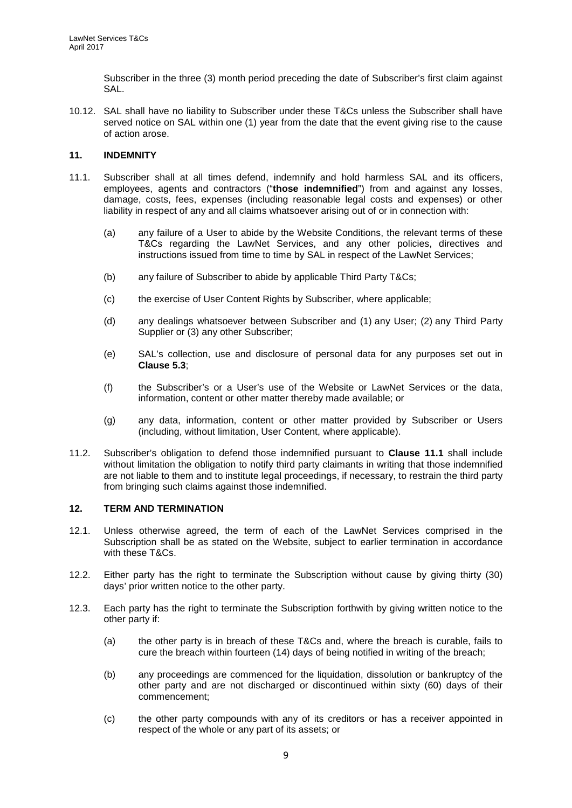Subscriber in the three (3) month period preceding the date of Subscriber's first claim against SAL.

10.12. SAL shall have no liability to Subscriber under these T&Cs unless the Subscriber shall have served notice on SAL within one (1) year from the date that the event giving rise to the cause of action arose.

### <span id="page-8-2"></span>**11. INDEMNITY**

- <span id="page-8-0"></span>11.1. Subscriber shall at all times defend, indemnify and hold harmless SAL and its officers, employees, agents and contractors ("**those indemnified**") from and against any losses, damage, costs, fees, expenses (including reasonable legal costs and expenses) or other liability in respect of any and all claims whatsoever arising out of or in connection with:
	- (a) any failure of a User to abide by the Website Conditions, the relevant terms of these T&Cs regarding the LawNet Services, and any other policies, directives and instructions issued from time to time by SAL in respect of the LawNet Services;
	- (b) any failure of Subscriber to abide by applicable Third Party T&Cs;
	- (c) the exercise of User Content Rights by Subscriber, where applicable;
	- (d) any dealings whatsoever between Subscriber and (1) any User; (2) any Third Party Supplier or (3) any other Subscriber;
	- (e) SAL's collection, use and disclosure of personal data for any purposes set out in **Clause [5.3](#page-3-2)**;
	- (f) the Subscriber's or a User's use of the Website or LawNet Services or the data, information, content or other matter thereby made available; or
	- (g) any data, information, content or other matter provided by Subscriber or Users (including, without limitation, User Content, where applicable).
- 11.2. Subscriber's obligation to defend those indemnified pursuant to **Clause [11.1](#page-8-0)** shall include without limitation the obligation to notify third party claimants in writing that those indemnified are not liable to them and to institute legal proceedings, if necessary, to restrain the third party from bringing such claims against those indemnified.

### **12. TERM AND TERMINATION**

- 12.1. Unless otherwise agreed, the term of each of the LawNet Services comprised in the Subscription shall be as stated on the Website, subject to earlier termination in accordance with these T&Cs.
- 12.2. Either party has the right to terminate the Subscription without cause by giving thirty (30) days' prior written notice to the other party.
- <span id="page-8-1"></span>12.3. Each party has the right to terminate the Subscription forthwith by giving written notice to the other party if:
	- (a) the other party is in breach of these T&Cs and, where the breach is curable, fails to cure the breach within fourteen (14) days of being notified in writing of the breach;
	- (b) any proceedings are commenced for the liquidation, dissolution or bankruptcy of the other party and are not discharged or discontinued within sixty (60) days of their commencement;
	- (c) the other party compounds with any of its creditors or has a receiver appointed in respect of the whole or any part of its assets; or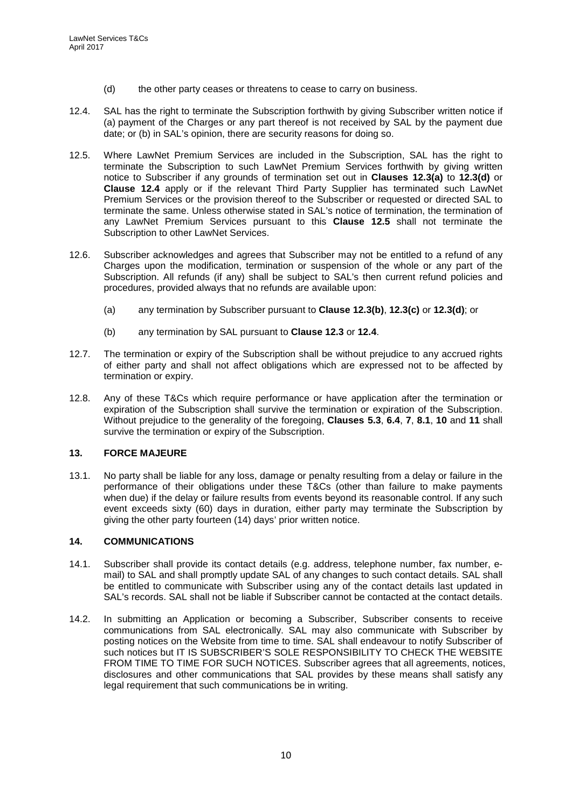- (d) the other party ceases or threatens to cease to carry on business.
- <span id="page-9-0"></span>12.4. SAL has the right to terminate the Subscription forthwith by giving Subscriber written notice if (a) payment of the Charges or any part thereof is not received by SAL by the payment due date; or (b) in SAL's opinion, there are security reasons for doing so.
- <span id="page-9-1"></span>12.5. Where LawNet Premium Services are included in the Subscription, SAL has the right to terminate the Subscription to such LawNet Premium Services forthwith by giving written notice to Subscriber if any grounds of termination set out in **Clauses [12.3\(a\)](#page-8-1)** to **[12.3\(d\)](#page-8-1)** or **Clause [12.4](#page-9-0)** apply or if the relevant Third Party Supplier has terminated such LawNet Premium Services or the provision thereof to the Subscriber or requested or directed SAL to terminate the same. Unless otherwise stated in SAL's notice of termination, the termination of any LawNet Premium Services pursuant to this **Clause [12.5](#page-9-1)** shall not terminate the Subscription to other LawNet Services.
- 12.6. Subscriber acknowledges and agrees that Subscriber may not be entitled to a refund of any Charges upon the modification, termination or suspension of the whole or any part of the Subscription. All refunds (if any) shall be subject to SAL's then current refund policies and procedures, provided always that no refunds are available upon:
	- (a) any termination by Subscriber pursuant to **Clause [12.3\(b\)](#page-8-1)**, **[12.3\(c\)](#page-8-1)** or **[12.3\(d\)](#page-8-1)**; or
	- (b) any termination by SAL pursuant to **Clause [12.3](#page-8-1)** or **[12.4](#page-9-0)**.
- 12.7. The termination or expiry of the Subscription shall be without prejudice to any accrued rights of either party and shall not affect obligations which are expressed not to be affected by termination or expiry.
- 12.8. Any of these T&Cs which require performance or have application after the termination or expiration of the Subscription shall survive the termination or expiration of the Subscription. Without prejudice to the generality of the foregoing, **Clauses [5.3](#page-3-2)**, **[6.4](#page-3-3)**, **[7](#page-3-4)**, **[8.1](#page-5-2)**, **[10](#page-6-0)** and **[11](#page-8-2)** shall survive the termination or expiry of the Subscription.

### **13. FORCE MAJEURE**

13.1. No party shall be liable for any loss, damage or penalty resulting from a delay or failure in the performance of their obligations under these T&Cs (other than failure to make payments when due) if the delay or failure results from events beyond its reasonable control. If any such event exceeds sixty (60) days in duration, either party may terminate the Subscription by giving the other party fourteen (14) days' prior written notice.

### **14. COMMUNICATIONS**

- 14.1. Subscriber shall provide its contact details (e.g. address, telephone number, fax number, email) to SAL and shall promptly update SAL of any changes to such contact details. SAL shall be entitled to communicate with Subscriber using any of the contact details last updated in SAL's records. SAL shall not be liable if Subscriber cannot be contacted at the contact details.
- 14.2. In submitting an Application or becoming a Subscriber, Subscriber consents to receive communications from SAL electronically. SAL may also communicate with Subscriber by posting notices on the Website from time to time. SAL shall endeavour to notify Subscriber of such notices but IT IS SUBSCRIBER'S SOLE RESPONSIBILITY TO CHECK THE WEBSITE FROM TIME TO TIME FOR SUCH NOTICES. Subscriber agrees that all agreements, notices, disclosures and other communications that SAL provides by these means shall satisfy any legal requirement that such communications be in writing.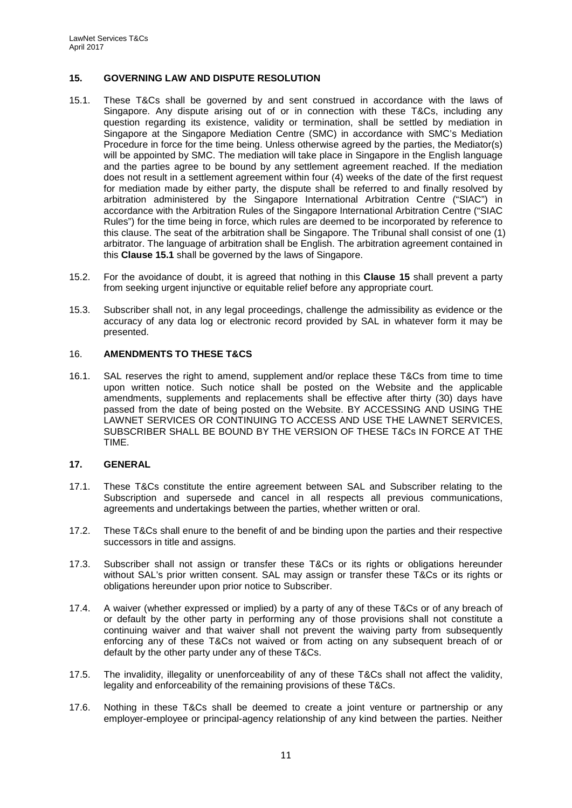### <span id="page-10-1"></span>**15. GOVERNING LAW AND DISPUTE RESOLUTION**

- <span id="page-10-0"></span>15.1. These T&Cs shall be governed by and sent construed in accordance with the laws of Singapore. Any dispute arising out of or in connection with these T&Cs, including any question regarding its existence, validity or termination, shall be settled by mediation in Singapore at the Singapore Mediation Centre (SMC) in accordance with SMC's Mediation Procedure in force for the time being. Unless otherwise agreed by the parties, the Mediator(s) will be appointed by SMC. The mediation will take place in Singapore in the English language and the parties agree to be bound by any settlement agreement reached. If the mediation does not result in a settlement agreement within four (4) weeks of the date of the first request for mediation made by either party, the dispute shall be referred to and finally resolved by arbitration administered by the Singapore International Arbitration Centre ("SIAC") in accordance with the Arbitration Rules of the Singapore International Arbitration Centre ("SIAC Rules") for the time being in force, which rules are deemed to be incorporated by reference to this clause. The seat of the arbitration shall be Singapore. The Tribunal shall consist of one (1) arbitrator. The language of arbitration shall be English. The arbitration agreement contained in this **Clause [15.1](#page-10-0)** shall be governed by the laws of Singapore.
- 15.2. For the avoidance of doubt, it is agreed that nothing in this **Clause [15](#page-10-1)** shall prevent a party from seeking urgent injunctive or equitable relief before any appropriate court.
- 15.3. Subscriber shall not, in any legal proceedings, challenge the admissibility as evidence or the accuracy of any data log or electronic record provided by SAL in whatever form it may be presented.

### 16. **AMENDMENTS TO THESE T&CS**

16.1. SAL reserves the right to amend, supplement and/or replace these T&Cs from time to time upon written notice. Such notice shall be posted on the Website and the applicable amendments, supplements and replacements shall be effective after thirty (30) days have passed from the date of being posted on the Website. BY ACCESSING AND USING THE LAWNET SERVICES OR CONTINUING TO ACCESS AND USE THE LAWNET SERVICES, SUBSCRIBER SHALL BE BOUND BY THE VERSION OF THESE T&Cs IN FORCE AT THE TIME.

#### **17. GENERAL**

- 17.1. These T&Cs constitute the entire agreement between SAL and Subscriber relating to the Subscription and supersede and cancel in all respects all previous communications, agreements and undertakings between the parties, whether written or oral.
- 17.2. These T&Cs shall enure to the benefit of and be binding upon the parties and their respective successors in title and assigns.
- 17.3. Subscriber shall not assign or transfer these T&Cs or its rights or obligations hereunder without SAL's prior written consent. SAL may assign or transfer these T&Cs or its rights or obligations hereunder upon prior notice to Subscriber.
- 17.4. A waiver (whether expressed or implied) by a party of any of these T&Cs or of any breach of or default by the other party in performing any of those provisions shall not constitute a continuing waiver and that waiver shall not prevent the waiving party from subsequently enforcing any of these T&Cs not waived or from acting on any subsequent breach of or default by the other party under any of these T&Cs.
- 17.5. The invalidity, illegality or unenforceability of any of these T&Cs shall not affect the validity, legality and enforceability of the remaining provisions of these T&Cs.
- 17.6. Nothing in these T&Cs shall be deemed to create a joint venture or partnership or any employer-employee or principal-agency relationship of any kind between the parties. Neither